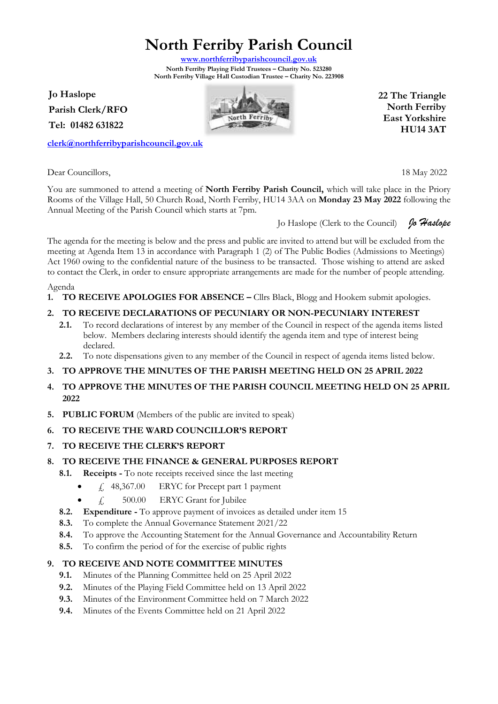**North Ferriby Parish Council**

**[www.northferribyparishcouncil.gov.uk](http://www.northferribyparishcouncil.gov.uk/) North Ferriby Playing Field Trustees – Charity No. 523280 North Ferriby Village Hall Custodian Trustee – Charity No. 223908** 

**Jo Haslope Parish Clerk/RFO Tel: 01482 631822**

**[clerk@northferribyparishcouncil.gov.uk](mailto:clerk@northferribyparishcouncil.gov.uk)**

Dear Councillors, 18 May 2022 You are summoned to attend a meeting of **North Ferriby Parish Council,** which will take place in the Priory Rooms of the Village Hall, 50 Church Road, North Ferriby, HU14 3AA on **Monday 23 May 2022** following the Annual Meeting of the Parish Council which starts at 7pm.

Jo Haslope (Clerk to the Council) *Jo Haslope*

The agenda for the meeting is below and the press and public are invited to attend but will be excluded from the meeting at Agenda Item 13 in accordance with Paragraph 1 (2) of The Public Bodies (Admissions to Meetings) Act 1960 owing to the confidential nature of the business to be transacted. Those wishing to attend are asked to contact the Clerk, in order to ensure appropriate arrangements are made for the number of people attending.

Agenda

**1. TO RECEIVE APOLOGIES FOR ABSENCE –** Cllrs Black, Blogg and Hookem submit apologies.

# **2. TO RECEIVE DECLARATIONS OF PECUNIARY OR NON-PECUNIARY INTEREST**

- **2.1.** To record declarations of interest by any member of the Council in respect of the agenda items listed below. Members declaring interests should identify the agenda item and type of interest being declared.
- **2.2.** To note dispensations given to any member of the Council in respect of agenda items listed below.

# **3. TO APPROVE THE MINUTES OF THE PARISH MEETING HELD ON 25 APRIL 2022**

- **4. TO APPROVE THE MINUTES OF THE PARISH COUNCIL MEETING HELD ON 25 APRIL 2022**
- **5. PUBLIC FORUM** (Members of the public are invited to speak)
- **6. TO RECEIVE THE WARD COUNCILLOR'S REPORT**
- **7. TO RECEIVE THE CLERK'S REPORT**

## **8. TO RECEIVE THE FINANCE & GENERAL PURPOSES REPORT**

- **8.1. Receipts -** To note receipts received since the last meeting
	- $\angle$  48,367.00 ERYC for Precept part 1 payment
	- $f_{\text{H}}$  = 500.00 ERYC Grant for Jubilee
- **8.2. Expenditure -** To approve payment of invoices as detailed under item 15
- **8.3.** To complete the Annual Governance Statement 2021/22
- **8.4.** To approve the Accounting Statement for the Annual Governance and Accountability Return
- **8.5.** To confirm the period of for the exercise of public rights

## **9. TO RECEIVE AND NOTE COMMITTEE MINUTES**

- **9.1.** Minutes of the Planning Committee held on 25 April 2022
- **9.2.** Minutes of the Playing Field Committee held on 13 April 2022
- **9.3.** Minutes of the Environment Committee held on 7 March 2022
- **9.4.** Minutes of the Events Committee held on 21 April 2022



**22 The Triangle North Ferriby East Yorkshire HU14 3AT**